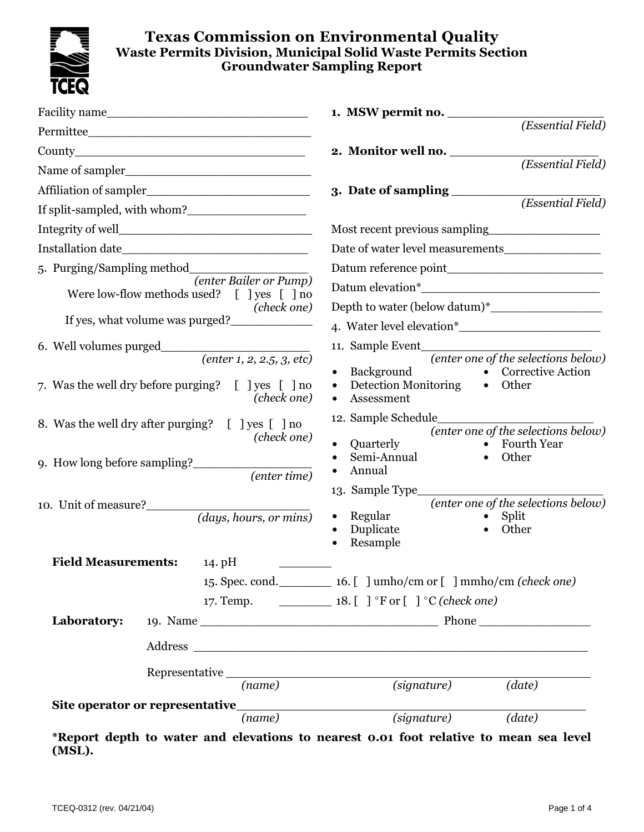

|                                                                                                                                                                                                                                                                                   | (Essential Field)                                                                                                                                                                                                                                                                                                                                                                                                               |  |  |
|-----------------------------------------------------------------------------------------------------------------------------------------------------------------------------------------------------------------------------------------------------------------------------------|---------------------------------------------------------------------------------------------------------------------------------------------------------------------------------------------------------------------------------------------------------------------------------------------------------------------------------------------------------------------------------------------------------------------------------|--|--|
| County <u>counts</u>                                                                                                                                                                                                                                                              | 2. Monitor well no.                                                                                                                                                                                                                                                                                                                                                                                                             |  |  |
|                                                                                                                                                                                                                                                                                   | (Essential Field)                                                                                                                                                                                                                                                                                                                                                                                                               |  |  |
| Affiliation of sampler                                                                                                                                                                                                                                                            | 3. Date of sampling                                                                                                                                                                                                                                                                                                                                                                                                             |  |  |
|                                                                                                                                                                                                                                                                                   | (Essential Field)                                                                                                                                                                                                                                                                                                                                                                                                               |  |  |
|                                                                                                                                                                                                                                                                                   | Most recent previous sampling                                                                                                                                                                                                                                                                                                                                                                                                   |  |  |
|                                                                                                                                                                                                                                                                                   | Date of water level measurements                                                                                                                                                                                                                                                                                                                                                                                                |  |  |
|                                                                                                                                                                                                                                                                                   |                                                                                                                                                                                                                                                                                                                                                                                                                                 |  |  |
| (enter Bailer or Pump)                                                                                                                                                                                                                                                            |                                                                                                                                                                                                                                                                                                                                                                                                                                 |  |  |
| Were low-flow methods used? [ ] yes [ ] no<br>(check one)                                                                                                                                                                                                                         |                                                                                                                                                                                                                                                                                                                                                                                                                                 |  |  |
| If yes, what volume was purged?                                                                                                                                                                                                                                                   |                                                                                                                                                                                                                                                                                                                                                                                                                                 |  |  |
|                                                                                                                                                                                                                                                                                   | 11. Sample Event                                                                                                                                                                                                                                                                                                                                                                                                                |  |  |
| $\overline{(enter 1, 2, 2.5, 3, etc)}$<br>7. Was the well dry before purging? [ ] yes [ ] no<br>(check one)<br>8. Was the well dry after purging? [ ] yes [ ] no<br>(check one)<br>9. How long before sampling?<br>(enter time)<br>10. Unit of measure?<br>(days, hours, or mins) | (enter one of the selections below)<br>Background<br>• Corrective Action<br><b>Detection Monitoring</b><br>• Other<br>Assessment<br>12. Sample Schedule<br>(enter one of the selections below)<br>Quarterly<br>• Fourth Year<br>Semi-Annual<br>Other<br>$\bullet$<br>Annual<br>$\bullet$<br>13. Sample Type<br>(enter one of the selections below)<br>Regular<br>$\bullet$ Split<br>$\bullet$<br>Duplicate<br>Other<br>Resample |  |  |
| <b>Field Measurements:</b><br>14. pH                                                                                                                                                                                                                                              |                                                                                                                                                                                                                                                                                                                                                                                                                                 |  |  |
|                                                                                                                                                                                                                                                                                   | 15. Spec. cond. 16. [ ] umho/cm or [ ] mmho/cm (check one)                                                                                                                                                                                                                                                                                                                                                                      |  |  |
|                                                                                                                                                                                                                                                                                   | 17. Temp. $\qquad \qquad 18. [ ]$ °F or $[ ]$ °C (check one)                                                                                                                                                                                                                                                                                                                                                                    |  |  |
| Laboratory:                                                                                                                                                                                                                                                                       |                                                                                                                                                                                                                                                                                                                                                                                                                                 |  |  |
|                                                                                                                                                                                                                                                                                   |                                                                                                                                                                                                                                                                                                                                                                                                                                 |  |  |
| Representative $\frac{1}{(name)}$                                                                                                                                                                                                                                                 | (signature)<br>(data)                                                                                                                                                                                                                                                                                                                                                                                                           |  |  |
| (name)                                                                                                                                                                                                                                                                            | (signature)<br>(date)                                                                                                                                                                                                                                                                                                                                                                                                           |  |  |

**\*Report depth to water and elevations to nearest 0.01 foot relative to mean sea level (MSL).**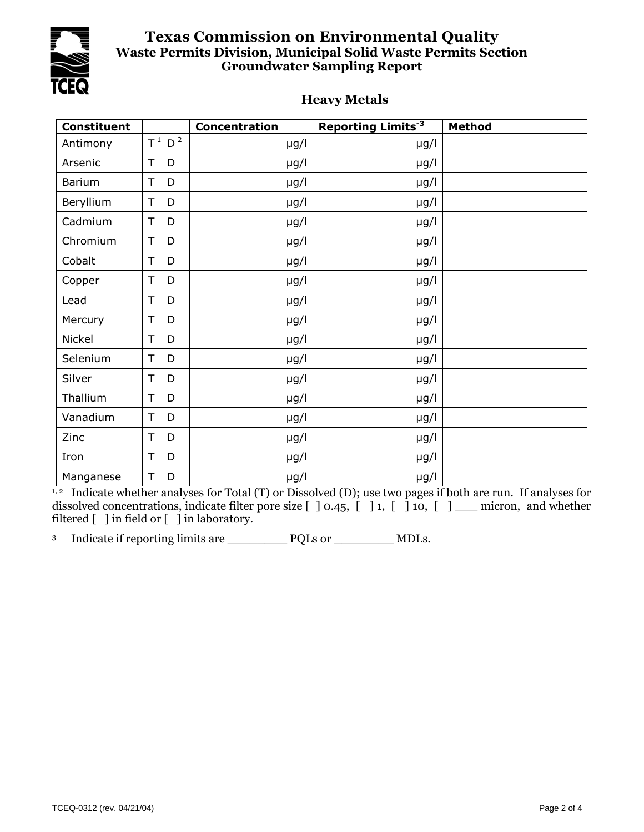

#### **Heavy Metals**

| <b>Constituent</b> |                      | <b>Concentration</b> | <b>Reporting Limits<sup>-3</sup></b> | Method |
|--------------------|----------------------|----------------------|--------------------------------------|--------|
| Antimony           | $T^1$ D <sup>2</sup> | µg/l                 | $\mu$ g/l                            |        |
| Arsenic            | T<br>D               | $\mu$ g/l            | $\mu$ g/l                            |        |
| <b>Barium</b>      | T<br>D               | $\mu$ g/l            | $\mu$ g/l                            |        |
| Beryllium          | T<br>D               | $\mu$ g/l            | $\mu$ g/l                            |        |
| Cadmium            | T<br>D               | $\mu$ g/l            | $\mu$ g/l                            |        |
| Chromium           | D<br>T               | $\mu$ g/l            | $\mu$ g/l                            |        |
| Cobalt             | T<br>D               | $\mu$ g/l            | $\mu$ g/l                            |        |
| Copper             | T<br>D               | $\mu$ g/l            | $\mu$ g/l                            |        |
| Lead               | T<br>D               | $\mu$ g/l            | $\mu$ g/l                            |        |
| Mercury            | D<br>T               | $\mu$ g/l            | $\mu$ g/l                            |        |
| Nickel             | T<br>D               | $\mu$ g/l            | $\mu$ g/l                            |        |
| Selenium           | T<br>D               | $\mu$ g/l            | $\mu$ g/l                            |        |
| Silver             | D<br>T               | $\mu$ g/l            | $\mu$ g/l                            |        |
| Thallium           | D<br>T               | $\mu$ g/l            | $\mu$ g/l                            |        |
| Vanadium           | D<br>T               | $\mu$ g/l            | $\mu$ g/l                            |        |
| Zinc               | T<br>D               | $\mu$ g/l            | $\mu$ g/l                            |        |
| Iron               | D<br>T               | $\mu$ g/l            | $\mu$ g/l                            |        |
| Manganese          | D<br>T               | $\mu$ g/l            | $\mu$ g/l                            |        |

<sup>1, 2</sup> Indicate whether analyses for Total (T) or Dissolved (D); use two pages if both are run. If analyses for dissolved concentrations, indicate filter pore size [ ] 0.45, [ ] 1, [ ] 10, [ ] \_\_\_ micron, and whether filtered [ ] in field or [ ] in laboratory.

<sup>3</sup> Indicate if reporting limits are \_\_\_\_\_\_\_\_\_\_\_\_ PQLs or \_\_\_\_\_\_\_\_\_\_ MDLs.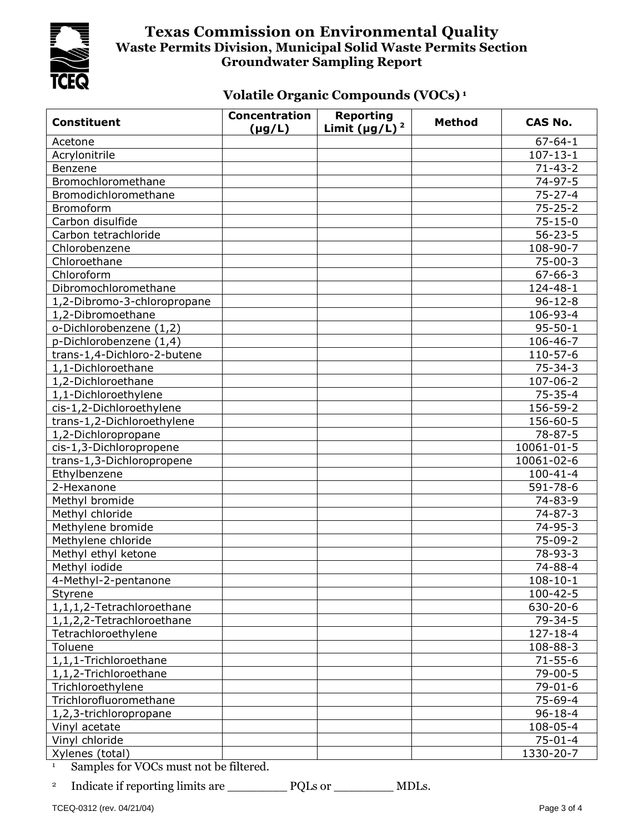

# **Volatile Organic Compounds (VOCs) <sup>1</sup>**

| <b>Constituent</b>          | <b>Concentration</b><br>$(\mu g/L)$ | <b>Reporting</b><br>Limit ( $\mu$ g/L) <sup>2</sup> | <b>Method</b> | <b>CAS No.</b> |
|-----------------------------|-------------------------------------|-----------------------------------------------------|---------------|----------------|
| Acetone                     |                                     |                                                     |               | $67 - 64 - 1$  |
| Acrylonitrile               |                                     |                                                     |               | $107 - 13 - 1$ |
| Benzene                     |                                     |                                                     |               | $71 - 43 - 2$  |
| Bromochloromethane          |                                     |                                                     |               | $74 - 97 - 5$  |
| Bromodichloromethane        |                                     |                                                     |               | $75 - 27 - 4$  |
| Bromoform                   |                                     |                                                     |               | $75 - 25 - 2$  |
| Carbon disulfide            |                                     |                                                     |               | $75 - 15 - 0$  |
| Carbon tetrachloride        |                                     |                                                     |               | $56 - 23 - 5$  |
| Chlorobenzene               |                                     |                                                     |               | 108-90-7       |
| Chloroethane                |                                     |                                                     |               | $75 - 00 - 3$  |
| Chloroform                  |                                     |                                                     |               | $67 - 66 - 3$  |
| Dibromochloromethane        |                                     |                                                     |               | $124 - 48 - 1$ |
| 1,2-Dibromo-3-chloropropane |                                     |                                                     |               | $96 - 12 - 8$  |
| 1,2-Dibromoethane           |                                     |                                                     |               | 106-93-4       |
| o-Dichlorobenzene (1,2)     |                                     |                                                     |               | $95 - 50 - 1$  |
| p-Dichlorobenzene (1,4)     |                                     |                                                     |               | 106-46-7       |
| trans-1,4-Dichloro-2-butene |                                     |                                                     |               | 110-57-6       |
| 1,1-Dichloroethane          |                                     |                                                     |               | $75 - 34 - 3$  |
| 1,2-Dichloroethane          |                                     |                                                     |               | $107 - 06 - 2$ |
| 1,1-Dichloroethylene        |                                     |                                                     |               | $75 - 35 - 4$  |
| cis-1,2-Dichloroethylene    |                                     |                                                     |               | 156-59-2       |
| trans-1,2-Dichloroethylene  |                                     |                                                     |               | 156-60-5       |
| 1,2-Dichloropropane         |                                     |                                                     |               | $78 - 87 - 5$  |
| cis-1,3-Dichloropropene     |                                     |                                                     |               | 10061-01-5     |
| trans-1,3-Dichloropropene   |                                     |                                                     |               | 10061-02-6     |
| Ethylbenzene                |                                     |                                                     |               | $100 - 41 - 4$ |
| 2-Hexanone                  |                                     |                                                     |               | 591-78-6       |
| Methyl bromide              |                                     |                                                     |               | $74 - 83 - 9$  |
| Methyl chloride             |                                     |                                                     |               | $74 - 87 - 3$  |
| Methylene bromide           |                                     |                                                     |               | $74 - 95 - 3$  |
| Methylene chloride          |                                     |                                                     |               | $75-09-2$      |
| Methyl ethyl ketone         |                                     |                                                     |               | 78-93-3        |
| Methyl iodide               |                                     |                                                     |               | $74 - 88 - 4$  |
| 4-Methyl-2-pentanone        |                                     |                                                     |               | $108 - 10 - 1$ |
| Styrene                     |                                     |                                                     |               | $100 - 42 - 5$ |
| 1,1,1,2-Tetrachloroethane   |                                     |                                                     |               | 630-20-6       |
| 1,1,2,2-Tetrachloroethane   |                                     |                                                     |               | $79 - 34 - 5$  |
| Tetrachloroethylene         |                                     |                                                     |               | $127 - 18 - 4$ |
| Toluene                     |                                     |                                                     |               | 108-88-3       |
| 1,1,1-Trichloroethane       |                                     |                                                     |               | $71 - 55 - 6$  |
| 1,1,2-Trichloroethane       |                                     |                                                     |               | $79 - 00 - 5$  |
| Trichloroethylene           |                                     |                                                     |               | $79 - 01 - 6$  |
| Trichlorofluoromethane      |                                     |                                                     |               | $75 - 69 - 4$  |
| 1,2,3-trichloropropane      |                                     |                                                     |               | $96 - 18 - 4$  |
| Vinyl acetate               |                                     |                                                     |               | 108-05-4       |
| Vinyl chloride              |                                     |                                                     |               | $75 - 01 - 4$  |
| Xylenes (total)             |                                     |                                                     |               | 1330-20-7      |

<sup>1</sup> Samples for VOCs must not be filtered.

<sup>2</sup> Indicate if reporting limits are \_\_\_\_\_\_\_\_\_\_\_\_ PQLs or \_\_\_\_\_\_\_\_\_\_\_ MDLs.